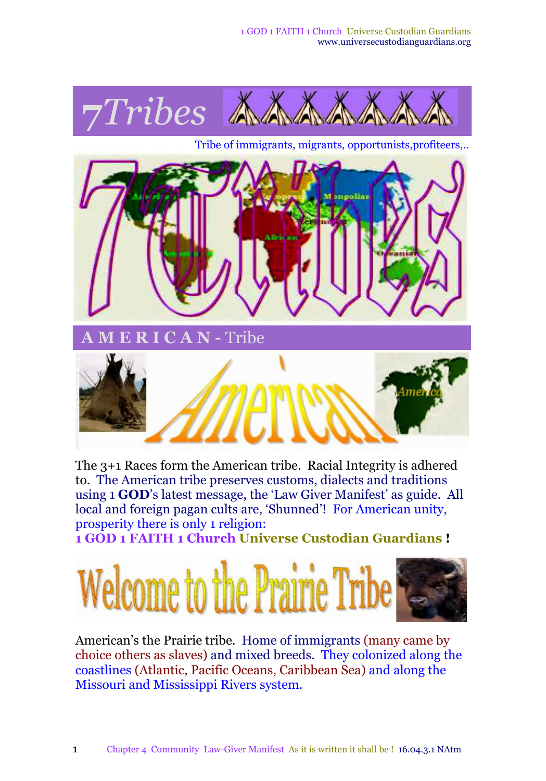

The 3+1 Races form the American tribe. Racial Integrity is adhered to. The American tribe preserves customs, dialects and traditions using 1 **GOD**'s latest message, the 'Law Giver Manifest' as guide. All local and foreign pagan cults are, 'Shunned'! For American unity, prosperity there is only 1 religion:

**1 GOD 1 FAITH 1 Church Universe Custodian Guardians !**



American's the Prairie tribe. Home of immigrants (many came by choice others as slaves) and mixed breeds. They colonized along the coastlines (Atlantic, Pacific Oceans, Caribbean Sea) and along the Missouri and Mississippi Rivers system.